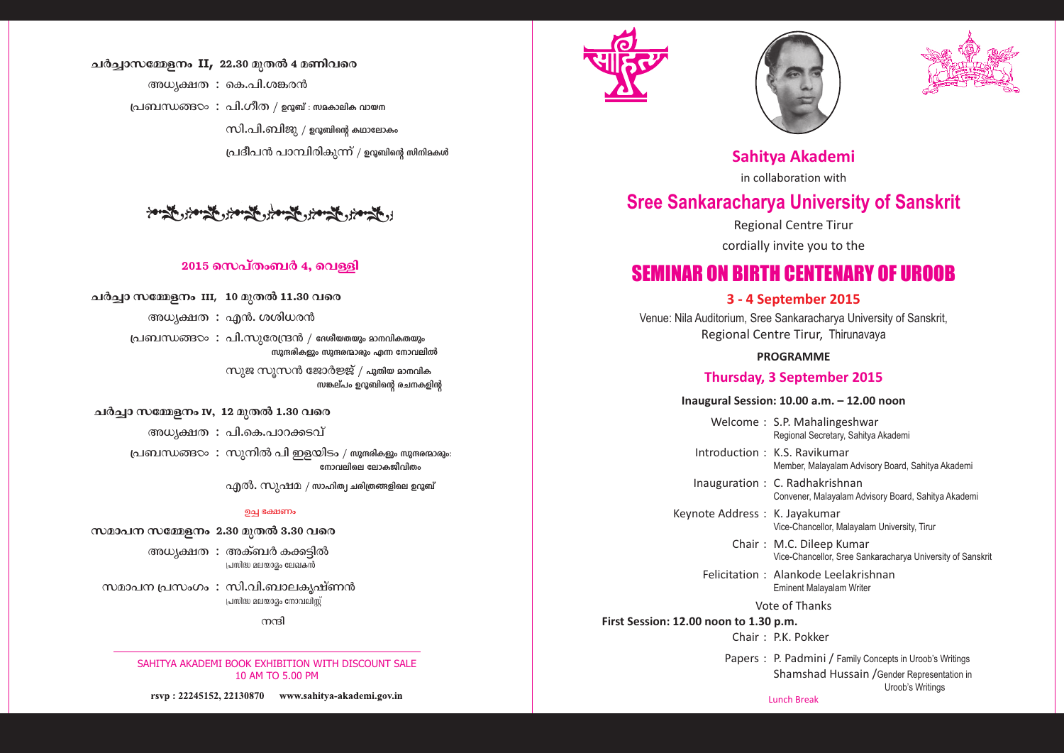## ചർച്ചാസമ്മേളനം II, 22.30 മുതൽ 4 മണിവരെ

അധ്യക്ഷത $\;$ : കെ.പി.ശങ്കരൻ പ്രബന്ധങ്ങ $\infty$ : പി.ഗീത / ഉറൂബ് $:$  സമകാലിക വായന സി.പി.ബിജു / ഉറൂബിന്റെ കഥാലോകം പ്രദീപൻ പാമ്പിരികുന്ന് / ഉറൂബിന്റെ സിനിമകൾ

## المستحدم والمستخر والمحدور المستخر والمحدور والمحدود

## $2015$  സെപ്തംബർ 4, വെള്ളി

## ചർച്ചാ സമ്മേളനം III, 10 മുതൽ 11.30 വരെ

അധ്യക്ഷത $\cdot$  എൻ. ശശിധരൻ

പ്രബന്ധങ്ങ $\infty$ : പി.സുരേന്ദ്രൻ / ദേശീയതയും മാനവികതയും സുന്ദരികളും സുന്ദരന്മാരും എന്ന നോവലിൽ

> സുജ സുസൻ ജോർജ്ജ് / പുതിയ മാനവിക സങ്കല്പം ഉറുബിന്റെ രചനകളിന്റ

#### ചർച്ചാ സമ്മേളനം **IV, 12 മുതൽ 1.30 വ**രെ

അധ്യക്ഷത $:$  പി.കെ.പാറക്കടവ്

പ്രബന്ധങ്ങ $\infty:$  സുനിൽ പി ഇളയിടം / സുന്ദരികളും സുന്ദരന്മാരും: നോവലിലെ ലോകജീവിതം

 $\alpha$ എൽ $\alpha$ . സുഷമ / സാഹിത്വ ചരിത്രങ്ങളിലെ ഉറൂബ്

#### ചെ ഭക്ഷണം

#### സമാപന സമ്മേളനം 2.30 മുതൽ 3.30 വരെ

അധ്യക്ഷത $\; : \;$ അക്ബർ കക്കടിൽ  $\mu$ പസിദ്ധ മലയാദം ലേഖകൻ

സമാപന $\mu$ പസംഗം $\mu: \mu$ ി.ബാലക്യഷ്ണൻ പ്രസിദ്ധ മലയാദം നോവലിസ്

 $m$ ഷി

SAHITYA AKADEMI BOOK EXHIBITION WITH DISCOUNT SALE 10 AM TO 5.00 PM

rsvp: 22245152, 22130870 www.sahitya-akademi.gov.in







**Sahitya Akademi**

in collaboration with

# **Sree Sankaracharya University of Sanskrit**

Regional Centre Tirur

cordially invite you to the

# SEMINAR ON BIRTH CENTENARY OF UROOB

## **3 - 4 September 2015**

Venue: Nila Auditorium, Sree Sankaracharya University of Sanskrit, Regional Centre Tirur, Thirunavaya

#### **PROGRAMME**

#### **Thursday, 3 September 2015**

#### **Inaugural Session: 10.00 a.m. – 12.00 noon**

Welcome : S.P. Mahalingeshwar Regional Secretary, Sahitya Akademi

Introduction : K.S. Ravikumar Member, Malayalam Advisory Board, Sahitya Akademi

Inauguration : C. Radhakrishnan

Convener, Malayalam Advisory Board, Sahitya Akademi

Keynote Address : K. Jayakumar

Vice-Chancellor, Malayalam University, Tirur

Chair : M.C. Dileep Kumar Vice-Chancellor, Sree Sankaracharya University of Sanskrit

Felicitation : Alankode Leelakrishnan Eminent Malayalam Writer

Vote of Thanks

**First Session: 12.00 noon to 1.30 p.m.** Chair · PK Pokker

> Lunch Break Papers : P. Padmini / Family Concepts in Uroob's Writings Shamshad Hussain /Gender Representation in Uroob's Writings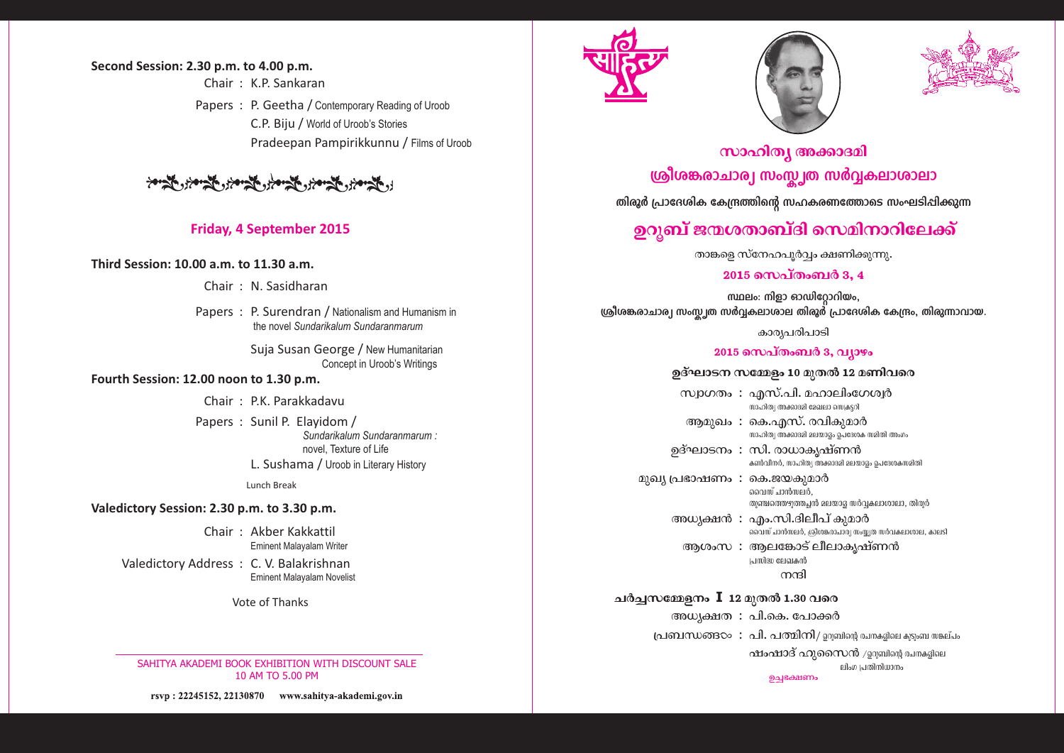## Second Session: 2.30 p.m. to 4.00 p.m.

Chair  $\cdot$  K P Sankaran Papers: P. Geetha / Contemporary Reading of Uroob C.P. Biju / World of Uroob's Stories Pradeepan Pampirikkunnu / Films of Uroob

المستعين والمحافظ والمحافظ والمحافظة والمحافظة والمحافظة

## **Friday, 4 September 2015**

Third Session: 10.00 a.m. to 11.30 a.m.

Chair: N. Sasidharan

Papers: P. Surendran / Nationalism and Humanism in the novel Sundarikalum Sundaranmarum

> Suja Susan George / New Humanitarian Concept in Uroob's Writings

### Fourth Session: 12.00 noon to 1.30 p.m.

Chair: P.K. Parakkadavu

Papers: Sunil P. Elayidom / Sundarikalum Sundaranmarum: novel. Texture of Life L. Sushama / Uroob in Literary History

**Lunch Break** 

### Valedictory Session: 2.30 p.m. to 3.30 p.m.

Chair: Akber Kakkattil **Eminent Malavalam Writer** 

Valedictory Address: C. V. Balakrishnan **Eminent Malayalam Novelist** 

Vote of Thanks

SAHITYA AKADEMI BOOK EXHIBITION WITH DISCOUNT SALE 10 AM TO 5.00 PM

rsvp: 22245152, 22130870 www.sahitya-akademi.gov.in







# സാഹിത്യ അക്കാദമി ശ്രീശങ്കരാചാര്വ സംസ്ക്വത സർവ്വകലാശാലാ

തിരൂർ പ്രാദേശിക കേന്ദ്രത്തിന്റെ സഹകരണത്തോടെ സംഘടിപ്പിക്കുന്ന

## ഉറുബ് ജന്മശതാബ്ദി സെമിനാറിലേക്ക്

താങ്കളെ സ്നേഹപുർവ്വം ക്ഷണിക്കുന്നു.

## 2015 സെപ്തംബർ 3, 4

സ്ഥലം: നിളാ ഓഡിറോറിയം, ശ്രീശങ്കരാചാര്വ സംസ്ക്വത സർവ്വകലാശാല തിരൂർ പ്രാദേശിക കേന്ദ്രം, തിരുന്നാവായ.

കാര്യപരിപാടി

## 2015 സെപ്തംബർ 3, വ്യാഴം

### ഉദ്ഘാടന സമ്മേളം 10 മുതൽ 12 മണിവരെ

സ്വാഗതം: എസ്.പി. മഹാലിംഗേശ്വർ യം<br>സാഹിത്യ അക്കാദമി മേഖലാ യെക്കറി

ആമുഖം : കെ.എസ്. രവികുമാർ സാഹിത്യ അക്കാദമി മലയാദം പെദേശക സമിതി അംഗം

ഉദ്ഘാടനം : സി. രാധാകൃഷ്ണൻ കൺവീനർ, സാഹിത്യ അക്കാദമി മലയാദ്ദം ഉപദേശകസമിതി

മുഖ്യ പ്രഭാഷണം : കെ.ജയകുമാർ വൈസ് പാൻസലർ. തുഞ്ചത്തെഴുത്തചൻ മലയാദ് സർവ്വകലാശാലാ, തിരുർ

> അധ്യക്ഷൻ : എം.സി.ദിലീപ് കുമാർ

ആശംസ : ആലങ്കോട് ലീലാകൃഷ്ണൻ പ്രതിദ്ധ ലേഖകൻ നന്ദി

ചർച്ചസമ്മേളനം  $\overline{\mathbf{I}}$  12 മുതൽ 1.30 വരെ

അധ്യക്ഷത : പി.കെ. പോക്കർ (പബന്ധങ്ങ $\infty:$  പി. പത്മിനി/ ഉറുബിന്റെ രചനകളിലെ കുടുംബ സങ്കല്പം

ഷംഷാദ് ഹൂസൈൻ /ஹഖിന്റെ ചനകദിലെ ലിംഗ പ്രതിനിധാനം ഉച്ചക്ഷേണം